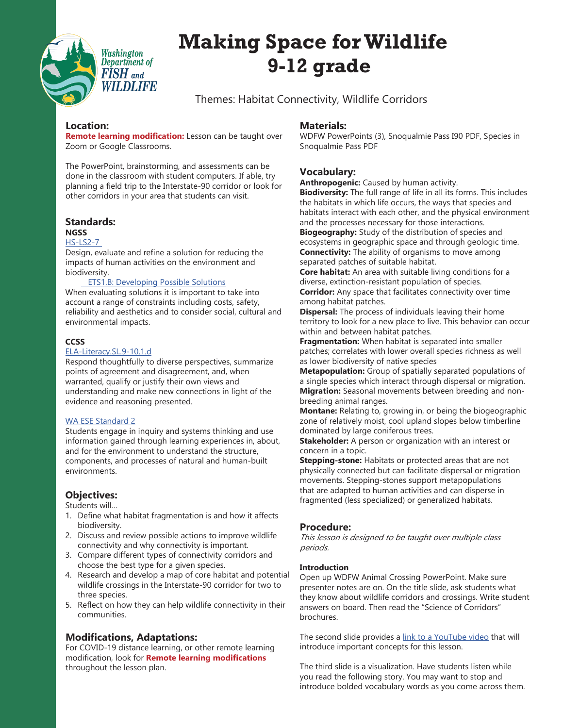

# **Making Space for Wildlife 9-12 grade**

Themes: Habitat Connectivity, Wildlife Corridors

## **Location:**

**Remote learning modification:** Lesson can be taught over Zoom or Google Classrooms.

The PowerPoint, brainstorming, and assessments can be done in the classroom with student computers. If able, try planning a field trip to the Interstate-90 corridor or look for other corridors in your area that students can visit.

#### **Standards: NGSS**

### [HS-LS2-7](https://www.nextgenscience.org/pe/hs-ls2-7-ecosystems-interactions-energy-and-dynamics)

Design, evaluate and refine a solution for reducing the impacts of human activities on the environment and biodiversity.

#### **[ETS1.B: Developing Possible Solutions](https://www.nap.edu/read/13165/chapter/12#206)**

When evaluating solutions it is important to take into account a range of constraints including costs, safety, reliability and aesthetics and to consider social, cultural and environmental impacts.

# **CCSS**

#### [ELA-Literacy.SL.9-10.1.d](http://www.corestandards.org/ELA-Literacy/SL/9-10/1/d/)

Respond thoughtfully to diverse perspectives, summarize points of agreement and disagreement, and, when warranted, qualify or justify their own views and understanding and make new connections in light of the evidence and reasoning presented.

#### [WA ESE Standard 2](https://www.k12.wa.us/sites/default/files/public/environmentsustainability/pubdocs/esestandards.pdf)

Students engage in inquiry and systems thinking and use information gained through learning experiences in, about, and for the environment to understand the structure, components, and processes of natural and human-built environments.

# **Objectives:**

Students will…

- 1. Define what habitat fragmentation is and how it affects biodiversity.
- 2. Discuss and review possible actions to improve wildlife connectivity and why connectivity is important.
- 3. Compare different types of connectivity corridors and choose the best type for a given species.
- 4. Research and develop a map of core habitat and potential wildlife crossings in the Interstate-90 corridor for two to three species.
- 5. Reflect on how they can help wildlife connectivity in their communities.

# **Modifications, Adaptations:**

For COVID-19 distance learning, or other remote learning modification, look for **Remote learning modifications** throughout the lesson plan.

## **Materials:**

WDFW PowerPoints (3), Snoqualmie Pass I90 PDF, Species in Snoqualmie Pass PDF

# **Vocabulary:**

**Anthropogenic:** Caused by human activity.

**Biodiversity:** The full range of life in all its forms. This includes the habitats in which life occurs, the ways that species and habitats interact with each other, and the physical environment and the processes necessary for those interactions. **Biogeography:** Study of the distribution of species and ecosystems in geographic space and through geologic time. **Connectivity:** The ability of organisms to move among separated patches of suitable habitat.

**Core habitat:** An area with suitable living conditions for a diverse, extinction-resistant population of species. **Corridor:** Any space that facilitates connectivity over time among habitat patches.

**Dispersal:** The process of individuals leaving their home territory to look for a new place to live. This behavior can occur within and between habitat patches.

**Fragmentation:** When habitat is separated into smaller patches; correlates with lower overall species richness as well as lower biodiversity of native species

**Metapopulation:** Group of spatially separated populations of a single species which interact through dispersal or migration. **Migration:** Seasonal movements between breeding and nonbreeding animal ranges.

**Montane:** Relating to, growing in, or being the biogeographic zone of relatively moist, cool upland slopes below timberline dominated by large coniferous trees.

**Stakeholder:** A person or organization with an interest or concern in a topic.

**Stepping-stone:** Habitats or protected areas that are not physically connected but can facilitate dispersal or migration movements. Stepping-stones support metapopulations that are adapted to human activities and can disperse in fragmented (less specialized) or generalized habitats.

# **Procedure:**

This lesson is designed to be taught over multiple class periods.

#### **Introduction**

Open up WDFW Animal Crossing PowerPoint. Make sure presenter notes are on. On the title slide, ask students what they know about wildlife corridors and crossings. Write student answers on board. Then read the "Science of Corridors" brochures.

The second slide provides a [link to a YouTube video](https://www.youtube.com/watch?v=rXJ3vmOWATk) that will introduce important concepts for this lesson.

The third slide is a visualization. Have students listen while you read the following story. You may want to stop and introduce bolded vocabulary words as you come across them.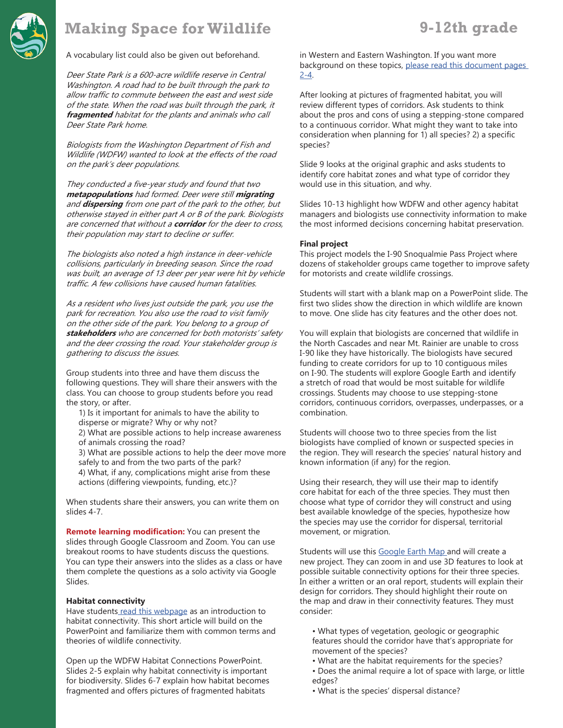

# **Making Space for Wildlife 9-12th grade**

A vocabulary list could also be given out beforehand.

Deer State Park is a 600-acre wildlife reserve in Central Washington. A road had to be built through the park to allow traffic to commute between the east and west side of the state. When the road was built through the park, it **fragmented** habitat for the plants and animals who call Deer State Park home.

Biologists from the Washington Department of Fish and Wildlife (WDFW) wanted to look at the effects of the road on the park's deer populations.

They conducted a five-year study and found that two **metapopulations** had formed. Deer were still **migrating** and **dispersing** from one part of the park to the other, but otherwise stayed in either part A or B of the park. Biologists are concerned that without a **corridor** for the deer to cross, their population may start to decline or suffer.

The biologists also noted a high instance in deer-vehicle collisions, particularly in breeding season. Since the road was built, an average of 13 deer per year were hit by vehicle traffic. A few collisions have caused human fatalities.

As a resident who lives just outside the park, you use the park for recreation. You also use the road to visit family on the other side of the park. You belong to a group of **stakeholders** who are concerned for both motorists' safety and the deer crossing the road. Your stakeholder group is gathering to discuss the issues.

Group students into three and have them discuss the following questions. They will share their answers with the class. You can choose to group students before you read the story, or after.

- 1) Is it important for animals to have the ability to disperse or migrate? Why or why not?
- 2) What are possible actions to help increase awareness of animals crossing the road?

3) What are possible actions to help the deer move more safely to and from the two parts of the park?

4) What, if any, complications might arise from these actions (differing viewpoints, funding, etc.)?

When students share their answers, you can write them on slides 4-7.

**Remote learning modification:** You can present the slides through Google Classroom and Zoom. You can use breakout rooms to have students discuss the questions. You can type their answers into the slides as a class or have them complete the questions as a solo activity via Google Slides.

#### **Habitat connectivity**

Have student[s read this webpage](https://content.yardmap.org/learn/habitat-connection/) as an introduction to habitat connectivity. This short article will build on the PowerPoint and familiarize them with common terms and theories of wildlife connectivity.

Open up the WDFW Habitat Connections PowerPoint. Slides 2-5 explain why habitat connectivity is important for biodiversity. Slides 6-7 explain how habitat becomes fragmented and offers pictures of fragmented habitats

in Western and Eastern Washington. If you want more background on these topics, [please read this document pages](https://conservationcorridor.org/wp-content/uploads/Connectivity_lesson_plan_habitat_fragmentation.pdf)  [2-4](https://conservationcorridor.org/wp-content/uploads/Connectivity_lesson_plan_habitat_fragmentation.pdf).

After looking at pictures of fragmented habitat, you will review different types of corridors. Ask students to think about the pros and cons of using a stepping-stone compared to a continuous corridor. What might they want to take into consideration when planning for 1) all species? 2) a specific species?

Slide 9 looks at the original graphic and asks students to identify core habitat zones and what type of corridor they would use in this situation, and why.

Slides 10-13 highlight how WDFW and other agency habitat managers and biologists use connectivity information to make the most informed decisions concerning habitat preservation.

#### **Final project**

This project models the I-90 Snoqualmie Pass Project where dozens of stakeholder groups came together to improve safety for motorists and create wildlife crossings.

Students will start with a blank map on a PowerPoint slide. The first two slides show the direction in which wildlife are known to move. One slide has city features and the other does not.

You will explain that biologists are concerned that wildlife in the North Cascades and near Mt. Rainier are unable to cross I-90 like they have historically. The biologists have secured funding to create corridors for up to 10 contiguous miles on I-90. The students will explore Google Earth and identify a stretch of road that would be most suitable for wildlife crossings. Students may choose to use stepping-stone corridors, continuous corridors, overpasses, underpasses, or a combination.

Students will choose two to three species from the list biologists have complied of known or suspected species in the region. They will research the species' natural history and known information (if any) for the region.

Using their research, they will use their map to identify core habitat for each of the three species. They must then choose what type of corridor they will construct and using best available knowledge of the species, hypothesize how the species may use the corridor for dispersal, territorial movement, or migration.

Students will use this [Google Earth Map](https://earth.google.com/web/@47.25253837,-121.2045157,733.8073705a,172996.5573314d,30y,358.10533184h,0t,0r) and will create a new project. They can zoom in and use 3D features to look at possible suitable connectivity options for their three species. In either a written or an oral report, students will explain their design for corridors. They should highlight their route on the map and draw in their connectivity features. They must consider:

- What types of vegetation, geologic or geographic features should the corridor have that's appropriate for movement of the species?
- What are the habitat requirements for the species?
- Does the animal require a lot of space with large, or little edges?
- What is the species' dispersal distance?